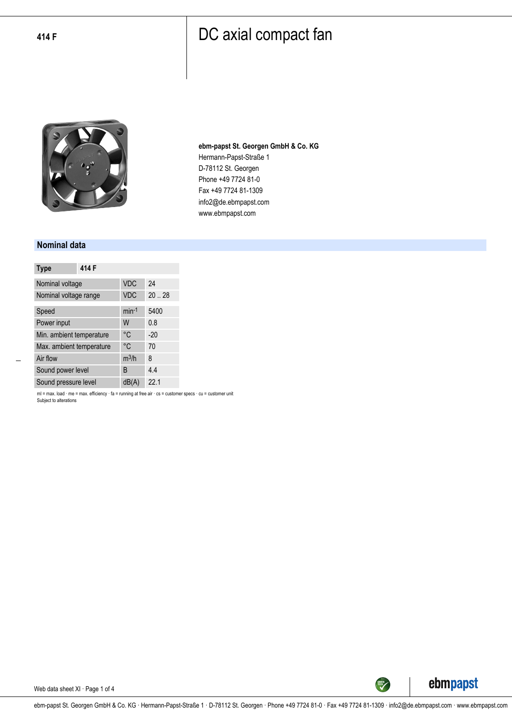

**ebm-papst St. Georgen GmbH & Co. KG** Hermann-Papst-Straße 1 D-78112 St. Georgen Phone +49 7724 81-0 Fax +49 7724 81-1309 info2@de.ebmpapst.com www.ebmpapst.com

#### **Nominal data**

| <b>Type</b>              | 414 F |            |       |
|--------------------------|-------|------------|-------|
| Nominal voltage          |       | <b>VDC</b> | 24    |
| Nominal voltage range    |       | <b>VDC</b> | 20.28 |
| Speed                    |       | $min-1$    | 5400  |
| Power input              |       | W          | 0.8   |
| Min. ambient temperature |       | °C         | $-20$ |
| Max. ambient temperature |       | °C         | 70    |
| Air flow                 |       | $m^3/h$    | 8     |
| Sound power level        |       | B          | 4.4   |
| Sound pressure level     |       | dB(A)      | 22.1  |

ml = max. load · me = max. efficiency · fa = running at free air · cs = customer specs · cu = customer unit Subject to alterations

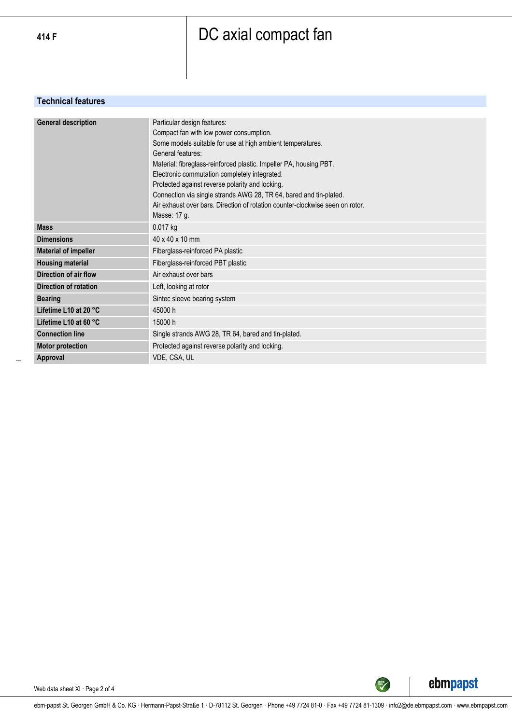### **Technical features**

| <b>General description</b>  | Particular design features:<br>Compact fan with low power consumption.<br>Some models suitable for use at high ambient temperatures.<br>General features:<br>Material: fibreglass-reinforced plastic. Impeller PA, housing PBT.<br>Electronic commutation completely integrated.<br>Protected against reverse polarity and locking.<br>Connection via single strands AWG 28, TR 64, bared and tin-plated.<br>Air exhaust over bars. Direction of rotation counter-clockwise seen on rotor.<br>Masse: 17 g. |
|-----------------------------|------------------------------------------------------------------------------------------------------------------------------------------------------------------------------------------------------------------------------------------------------------------------------------------------------------------------------------------------------------------------------------------------------------------------------------------------------------------------------------------------------------|
| <b>Mass</b>                 | 0.017 kg                                                                                                                                                                                                                                                                                                                                                                                                                                                                                                   |
| <b>Dimensions</b>           | $40 \times 40 \times 10$ mm                                                                                                                                                                                                                                                                                                                                                                                                                                                                                |
| <b>Material of impeller</b> | Fiberglass-reinforced PA plastic                                                                                                                                                                                                                                                                                                                                                                                                                                                                           |
| <b>Housing material</b>     | Fiberglass-reinforced PBT plastic                                                                                                                                                                                                                                                                                                                                                                                                                                                                          |
| Direction of air flow       | Air exhaust over bars                                                                                                                                                                                                                                                                                                                                                                                                                                                                                      |
| Direction of rotation       | Left, looking at rotor                                                                                                                                                                                                                                                                                                                                                                                                                                                                                     |
| <b>Bearing</b>              | Sintec sleeve bearing system                                                                                                                                                                                                                                                                                                                                                                                                                                                                               |
| Lifetime L10 at 20 °C       | 45000 h                                                                                                                                                                                                                                                                                                                                                                                                                                                                                                    |
| Lifetime L10 at 60 °C       | 15000 h                                                                                                                                                                                                                                                                                                                                                                                                                                                                                                    |
| <b>Connection line</b>      | Single strands AWG 28, TR 64, bared and tin-plated.                                                                                                                                                                                                                                                                                                                                                                                                                                                        |
| <b>Motor protection</b>     | Protected against reverse polarity and locking.                                                                                                                                                                                                                                                                                                                                                                                                                                                            |
| Approval                    | VDE, CSA, UL                                                                                                                                                                                                                                                                                                                                                                                                                                                                                               |



Web data sheet XI · Page 2 of 4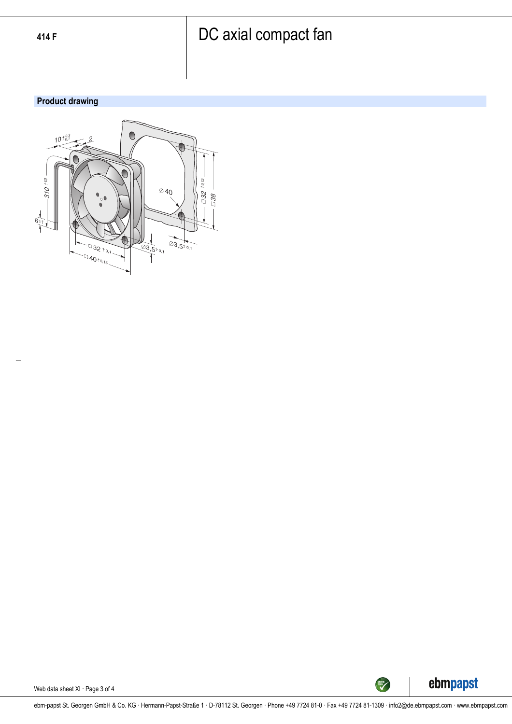## **Product drawing**





Web data sheet XI · Page 3 of 4